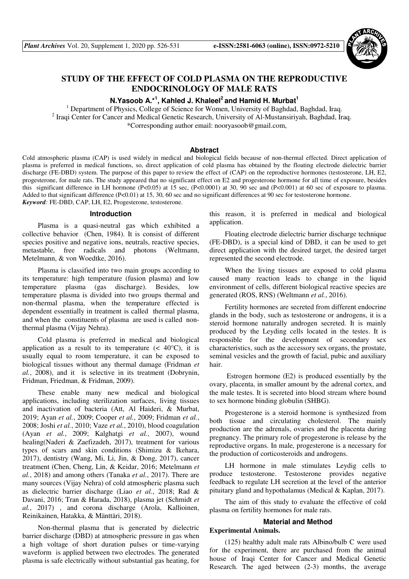

# **STUDY OF THE EFFECT OF COLD PLASMA ON THE REPRODUCTIVE ENDOCRINOLOGY OF MALE RATS**

# **N.Yasoob A.\*<sup>1</sup> , Kahled J. Khaleel<sup>2</sup>and Hamid H. Murbat<sup>1</sup>**

<sup>1</sup> Department of Physics, College of Science for Women, University of Baghdad, Baghdad, Iraq. <sup>2</sup> Iraqi Center for Cancer and Medical Genetic Research, University of Al-Mustansiriyah, Baghdad, Iraq. \*Corresponding author email: nooryasoob@gmail.com,

#### **Abstract**

Cold atmospheric plasma (CAP) is used widely in medical and biological fields because of non-thermal effected. Direct application of plasma is preferred in medical functions, so, direct application of cold plasma has obtained by the floating electrode dielectric barrier discharge (FE-DBD) system. The purpose of this paper to review the effect of (CAP) on the reproductive hormones (testosterone, LH, E2, progesterone, for male rats. The study appeared that no significant effect on E2 and progesterone hormone for all time of exposure, besides this significant difference in LH hormone (P<0.05) at 15 sec, (P<0.0001) at 30, 90 sec and (P<0.001) at 60 sec of exposure to plasma. Added to that significant difference (P<0.01) at 15, 30, 60 sec and no significant differences at 90 sec for testosterone hormone. *Keyword:* FE-DBD, CAP, LH, E2, Progesterone, testosterone.

#### **Introduction**

Plasma is a quasi-neutral gas which exhibited a collective behavior (Chen, 1984). It is consist of different species positive and negative ions, neutrals, reactive species, metastable, free radicals and photons (Weltmann, Metelmann, & von Woedtke, 2016).

Plasma is classified into two main groups according to its temperature: high temperature (fusion plasma) and low temperature plasma (gas discharge). Besides, low temperature plasma is divided into two groups thermal and non-thermal plasma, when the temperature effected is dependent essentially in treatment is called thermal plasma, and when the constituents of plasma are used is called nonthermal plasma (Vijay Nehra).

Cold plasma is preferred in medical and biological application as a result to its temperature  $(< 40^{\circ}C)$ , it is usually equal to room temperature, it can be exposed to biological tissues without any thermal damage (Fridman *et al.*, 2008), and it is selective in its treatment (Dobrynin, Fridman, Friedman, & Fridman, 2009).

These enable many new medical and biological applications, including sterilization surfaces, living tissues and inactivation of bacteria (Att, Al Haideri, & Murbat, 2019; Ayan *et al.*, 2009; Cooper *et al.*, 2009; Fridman *et al.*, 2008; Joshi *et al.*, 2010; Vaze *et al.*, 2010), blood coagulation (Ayan *et al.*, 2009; Kalghatgi *et al.*, 2007), wound healing(Naderi & Zaefizadeh, 2017), treatment for various types of scars and skin conditions (Shimizu & Ikehara, 2017), dentistry (Wang, Mi, Li, Jin, & Dong, 2017), cancer treatment (Chen, Cheng, Lin, & Keidar, 2016; Metelmann *et al.*, 2018) and among others (Tanaka *et al.*, 2017). There are many sources (Vijay Nehra) of cold atmospheric plasma such as dielectric barrier discharge (Liao *et al.*, 2018; Rad & Davani, 2016; Tran & Harada, 2018), plasma jet (Schmidt *et al.*, 2017) , and corona discharge (Arola, Kallioinen, Reinikainen, Hatakka, & Mänttäri, 2018).

Non-thermal plasma that is generated by dielectric barrier discharge (DBD) at atmospheric pressure in gas when a high voltage of short duration pulses or time-varying waveform is applied between two electrodes. The generated plasma is safe electrically without substantial gas heating, for this reason, it is preferred in medical and biological application.

Floating electrode dielectric barrier discharge technique (FE-DBD), is a special kind of DBD, it can be used to get direct application with the desired target, the desired target represented the second electrode.

When the living tissues are exposed to cold plasma caused many reaction leads to change in the liquid environment of cells, different biological reactive species are generated (ROS, RNS) (Weltmann *et al.*, 2016).

Fertility hormones are secreted from different endocrine glands in the body, such as testosterone or androgens, it is a steroid hormone naturally androgen secreted. It is mainly produced by the Leyding cells located in the testes. It is responsible for the development of secondary sex characteristics, such as the accessory sex organs, the prostate, seminal vesicles and the growth of facial, pubic and auxiliary hair.

 Estrogen hormone (E2) is produced essentially by the ovary, placenta, in smaller amount by the adrenal cortex, and the male testes. It is secreted into blood stream where bound to sex hormone binding globulin (SHBG).

Progesterone is a steroid hormone is synthesized from both tissue and circulating cholesterol. The mainly production are the adrenals, ovaries and the placenta during pregnancy. The primary role of progesterone is release by the reproductive organs. In male, progesterone is a necessary for the production of corticosteroids and androgens.

LH hormone in male stimulates Leydig cells to produce testosterone. Testosterone provides negative feedback to regulate LH secretion at the level of the anterior pituitary gland and hypothalamus (Medical & Kaplan, 2017).

The aim of this study to evaluate the effective of cold plasma on fertility hormones for male rats.

# **Material and Method**

# **Experimental Animals.**

(125) healthy adult male rats Albino/bulb C were used for the experiment, there are purchased from the animal house of Iraqi Center for Cancer and Medical Genetic Research. The aged between (2-3) months, the average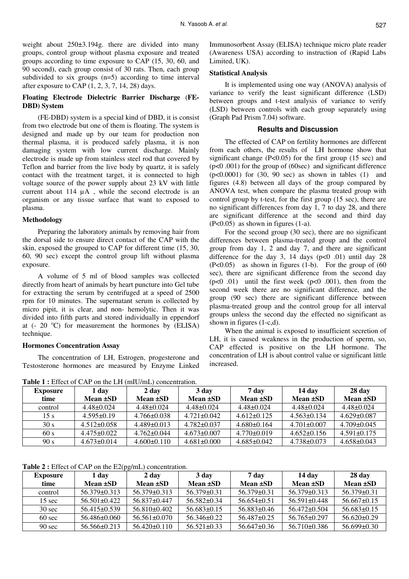weight about  $250\pm3.194$ g. there are divided into many groups, control group without plasma exposure and treated groups according to time exposure to CAP (15, 30, 60, and 90 second), each group consist of 30 rats. Then, each group subdivided to six groups (n=5) according to time interval after exposure to CAP (1, 2, 3, 7, 14, 28) days.

# **Floating Electrode Dielectric Barrier Discharge** (**FE-DBD) System**

(FE-DBD) system is a special kind of DBD, it is consist from two electrode but one of them is floating. The system is designed and made up by our team for production non thermal plasma, it is produced safely plasma, it is non damaging system with low current discharge. Mainly electrode is made up from stainless steel rod that covered by Teflon and barrier from the live body by quartz, it is safely contact with the treatment target, it is connected to high voltage source of the power supply about 23 kV with little current about 114 µA , while the second electrode is an organism or any tissue surface that want to exposed to plasma.

### **Methodology**

Preparing the laboratory animals by removing hair from the dorsal side to ensure direct contact of the CAP with the skin, exposed the grouped to CAP for different time (15, 30, 60, 90 sec) except the control group lift without plasma exposure.

A volume of 5 ml of blood samples was collected directly from heart of animals by heart puncture into Gel tube for extracting the serum by centrifuged at a speed of 2500 rpm for 10 minutes. The supernatant serum is collected by micro pipit, it is clear, and non- hemolytic. Then it was divided into fifth parts and stored individually in eppendorf at  $(-20 \degree C)$  for measurement the hormones by (ELISA) technique.

### **Hormones Concentration Assay**

The concentration of LH, Estrogen, progesterone and Testosterone hormones are measured by Enzyme Linked

**Table 1 :** Effect of CAP on the LH (mIU/mL) concentration.

Immunosorbent Assay (ELISA) technique micro plate reader (Awareness USA) according to instruction of (Rapid Labs Limited, UK).

### **Statistical Analysis**

It is implemented using one way (ANOVA) analysis of variance to verify the least significant difference (LSD) between groups and t-test analysis of variance to verify (LSD) between controls with each group separately using (Graph Pad Prism 7.04) software.

#### **Results and Discussion**

The effected of CAP on fertility hormones are different from each others, the results of LH hormone show that significant change (P<0.05) for the first group (15 sec) and (p<0 .001) for the group of (60sec) and significant difference  $(p<0.0001)$  for  $(30, 90 \text{ sec})$  as shown in tables  $(1)$  and figures (4.8) between all days of the group compared by ANOVA test, when compare the plasma treated group with control group by t-test, for the first group (15 sec), there are no significant differences from day 1, 7 to day 28, and there are significant difference at the second and third day (P<0.05) as shown in figures (1-a).

For the second group (30 sec), there are no significant differences between plasma-treated group and the control group from day 1, 2 and day 7, and there are significant difference for the day 3, 14 days ( $p<0$  .01) until day 28 (P<0.05) as shown in figures (1-b). For the group of (60 sec), there are significant difference from the second day  $(p<0.01)$  until the first week  $(p<0.001)$ , then from the second week there are no significant difference, and the group (90 sec) there are significant difference between plasma-treated group and the control group for all interval groups unless the second day the effected no significant as shown in figures (1-c,d).

When the animal is exposed to insufficient secretion of LH, it is caused weakness in the production of sperm, so, CAP effected is positive on the LH hormone. The concentration of LH is about control value or significant little increased.

| <b>Exposure</b> | 1 dav           | 2 day           | 3 day           | 7 day           | 14 day          | 28 day          |
|-----------------|-----------------|-----------------|-----------------|-----------------|-----------------|-----------------|
| time            | Mean ±SD        | Mean ±SD        | Mean ±SD        | Mean ±SD        | Mean ±SD        | Mean ±SD        |
| control         | 4.48+0.024      | 4.48+0.024      | 4.48+0.024      | 4.48+0.024      | 4.48+0.024      | 4.48+0.024      |
| 15 s            | $4.595 + 0.19$  | $4.766 + 0.038$ | $4.721 + 0.042$ | $4.612 + 0.125$ | $4.563 + 0.134$ | $4.629 + 0.087$ |
| 30 s            | $4.512 + 0.058$ | $4.489 + 0.013$ | $4.782 + 0.037$ | $4.680 + 0.164$ | $4.701 + 0.007$ | $4.709 + 0.045$ |
| 60 s            | $4.475 + 0.022$ | $4.762 + 0.044$ | $4.673 + 0.007$ | $4.770 + 0.019$ | $4.652+0.156$   | $4.591 + 0.175$ |
| 90 s            | $4.673 + 0.014$ | $4.600 + 0.110$ | $4.681 + 0.000$ | 4.685+0.042     | 4.738+0.073     | $4.658\pm0.043$ |

**Table 2 :** Effect of CAP on the E2(pg/mL) concentration.

| Exposure         | 1 day            | 2 day              | 3 day           | 7 day           | 14 dav             | 28 day          |
|------------------|------------------|--------------------|-----------------|-----------------|--------------------|-----------------|
| time             | Mean ±SD         | Mean $\pm SD$      | Mean $\pm SD$   | Mean ±SD        | Mean $\pm SD$      | Mean $\pm SD$   |
| control          | 56.379+0.313     | 56.379+0.313       | 56.379+0.31     | $56.379 + 0.31$ | 56.379+0.313       | 56.379+0.31     |
| $15 \text{ sec}$ | 56.501+0.422     | 56.837+0.447       | 56.582+0.34     | 56.654+0.51     | $56.591 \pm 0.448$ | $56.667+0.15$   |
| $30 \text{ sec}$ | $56.415 + 0.539$ | 56.810+0.402       | $56.683+0.15$   | 56.883+0.46     | 56.472+0.504       | $56.683+0.15$   |
| $60 \text{ sec}$ | 56.486+0.060     | 56.561+0.070       | $56.346 + 0.22$ | 56.487+0.25     | 56.765+0.297       | $56.620 + 0.29$ |
| $90 \text{ sec}$ | 56.566+0.213     | $56.420 \pm 0.110$ | $56.521 + 0.33$ | $56.647\pm0.36$ | $56.710\pm0.386$   | $56.699\pm0.30$ |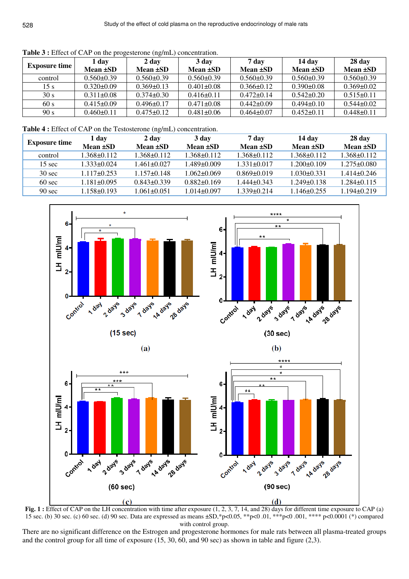| <b>Exposure time</b> | 1 day            | 2 day          | 3 day            | 7 day            | 14 dav         | 28 day         |
|----------------------|------------------|----------------|------------------|------------------|----------------|----------------|
|                      | Mean ±SD         | Mean ±SD       | Mean ±SD         | Mean ±SD         | Mean ±SD       | Mean ±SD       |
| control              | $0.560 + 0.39$   | $0.560 + 0.39$ | $0.560 + 0.39$   | $0.560 \pm 0.39$ | $0.560 + 0.39$ | $0.560 + 0.39$ |
| 15 s                 | $0.320\pm0.09$   | $0.369 + 0.13$ | $0.401 + 0.08$   | $0.366 + 0.12$   | $0.390 + 0.08$ | $0.369 + 0.02$ |
| 30 s                 | $0.311 + 0.08$   | $0.374\pm0.30$ | $0.416 + 0.11$   | $0.472 + 0.14$   | $0.542 + 0.20$ | $0.515 + 0.11$ |
| 60 s                 | $0.415 \pm 0.09$ | $0.496\pm0.17$ | $0.471 \pm 0.08$ | $0.442 + 0.09$   | $0.494 + 0.10$ | $0.544 + 0.02$ |
| 90 s                 | $0.460 + 0.11$   | $0.475 + 0.12$ | $0.481 \pm 0.06$ | $0.464 + 0.07$   | $0.452 + 0.11$ | $0.448 + 0.11$ |

**Table 3 :** Effect of CAP on the progesterone (ng/mL) concentration.

**Table 4 :** Effect of CAP on the Testosterone (ng/mL) concentration.

| <b>Exposure time</b> | 1 dav          | 2 day           | 3 day           | 7 day           | 14 day          | 28 day          |
|----------------------|----------------|-----------------|-----------------|-----------------|-----------------|-----------------|
|                      | Mean $\pm SD$  | Mean $\pm SD$   | Mean ±SD        | Mean $\pm SD$   | Mean $\pm$ SD   | Mean $\pm SD$   |
| control              | 1.368+0.112    | 1.368+0.112     | 1.368+0.112     | 1.368+0.112     | 1.368+0.112     | 1.368+0.112     |
| $15 \text{ sec}$     | 1.333+0.024    | 1 461+0 027     | 1.489+0.009     | $1.331 + 0.017$ | 1.200+0.109     | $1.275 + 0.080$ |
| $30 \text{ sec}$     | 1 117+0 253    | $1.157 + 0.148$ | $1.062 + 0.069$ | $0.869 + 0.019$ | $1.030 + 0.331$ | 1 414+0 246     |
| $60 \text{ sec}$     | $.181 + 0.095$ | $0.843 + 0.339$ | $0.882 + 0.169$ | $1.444 + 0.343$ | 1.249+0.138     | $1.284 + 0.115$ |
| $90 \text{ sec}$     | 1.158+0.193    | 1.061+0.051     | $1.014 + 0.097$ | $1.339 + 0.214$ | 1.146+0.255     | 1.194+0.219     |



**Fig. 1**: Effect of CAP on the LH concentration with time after exposure  $(1, 2, 3, 7, 14,$  and 28) days for different time exposure to CAP (a) 15 sec. (b) 30 sec. (c) 60 sec. (d) 90 sec. Data are expressed as means ±SD,\*p<0.05, \*\*p<0 .01, \*\*\*p<0 .001, \*\*\*\* p<0.0001 (\*) compared with control group.

There are no significant difference on the Estrogen and progesterone hormones for male rats between all plasma-treated groups and the control group for all time of exposure (15, 30, 60, and 90 sec) as shown in table and figure (2,3).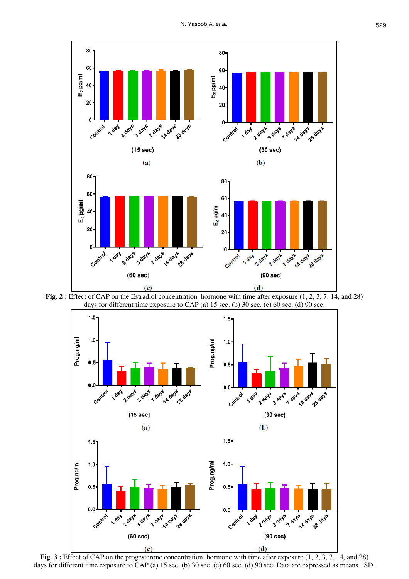

**Fig. 2 :** Effect of CAP on the Estradiol concentration hormone with time after exposure (1, 2, 3, 7, 14, and 28) days for different time exposure to CAP (a)  $15$  sec. (b)  $30$  sec. (c)  $60$  sec. (d)  $90$  sec.



**Fig. 3 :** Effect of CAP on the progesterone concentration hormone with time after exposure (1, 2, 3, 7, 14, and 28) days for different time exposure to CAP (a) 15 sec. (b) 30 sec. (c) 60 sec. (d) 90 sec. Data are expressed as means  $\pm$ SD.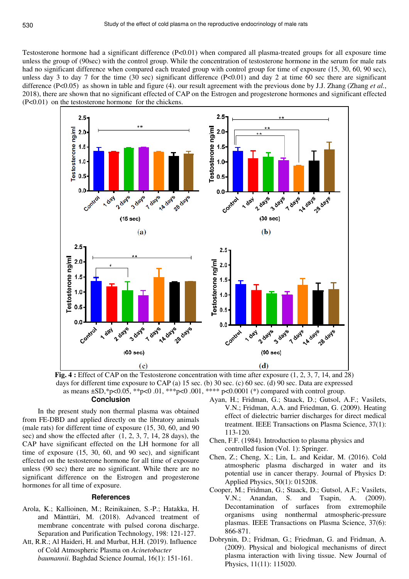Testosterone hormone had a significant difference (P<0.01) when compared all plasma-treated groups for all exposure time unless the group of (90sec) with the control group. While the concentration of testosterone hormone in the serum for male rats had no significant difference when compared each treated group with control group for time of exposure (15, 30, 60, 90 sec), unless day 3 to day 7 for the time  $(30 \text{ sec})$  significant difference  $(P<0.01)$  and day 2 at time 60 sec there are significant difference (P<0.05) as shown in table and figure (4). our result agreement with the previous done by J.J. Zhang (Zhang *et al.*, 2018), there are shown that no significant effected of CAP on the Estrogen and progesterone hormones and significant effected (P<0.01) on the testosterone hormone for the chickens.



**Fig. 4 :** Effect of CAP on the Testosterone concentration with time after exposure (1, 2, 3, 7, 14, and 28) days for different time exposure to CAP (a) 15 sec. (b) 30 sec. (c) 60 sec. (d) 90 sec. Data are expressed as means  $\pm SD$ ,\*p<0.05, \*\*p<0.01, \*\*\*p<0.001, \*\*\*\* p<0.0001 (\*) compared with control group. **Conclusion** 

In the present study non thermal plasma was obtained from FE-DBD and applied directly on the libratory animals (male rats) for different time of exposure (15, 30, 60, and 90 sec) and show the effected after (1, 2, 3, 7, 14, 28 days), the CAP have significant effected on the LH hormone for all time of exposure (15, 30, 60, and 90 sec), and significant effected on the testosterone hormone for all time of exposure unless (90 sec) there are no significant. While there are no significant difference on the Estrogen and progesterone hormones for all time of exposure.

#### **References**

- Arola, K.; Kallioinen, M.; Reinikainen, S.-P.; Hatakka, H. and Mänttäri, M. (2018). Advanced treatment of membrane concentrate with pulsed corona discharge. Separation and Purification Technology, 198: 121-127.
- Att, R.R.; Al Haideri, H. and Murbat, H.H. (2019). Influence of Cold Atmospheric Plasma on *Acinetobacter baumannii*. Baghdad Science Journal, 16(1): 151-161.
- Ayan, H.; Fridman, G.; Staack, D.; Gutsol, A.F.; Vasilets, V.N.; Fridman, A.A. and Friedman, G. (2009). Heating effect of dielectric barrier discharges for direct medical treatment. IEEE Transactions on Plasma Science, 37(1): 113-120.
- Chen, F.F. (1984). Introduction to plasma physics and controlled fusion (Vol. 1): Springer.
- Chen, Z.; Cheng, X.; Lin, L. and Keidar, M. (2016). Cold atmospheric plasma discharged in water and its potential use in cancer therapy. Journal of Physics D: Applied Physics, 50(1): 015208.
- Cooper, M.; Fridman, G.; Staack, D.; Gutsol, A.F.; Vasilets, V.N.; Anandan, S. and Tsapin, A. (2009). Decontamination of surfaces from extremophile organisms using nonthermal atmospheric-pressure plasmas. IEEE Transactions on Plasma Science, 37(6): 866-871.
- Dobrynin, D.; Fridman, G.; Friedman, G. and Fridman, A. (2009). Physical and biological mechanisms of direct plasma interaction with living tissue. New Journal of Physics, 11(11): 115020.